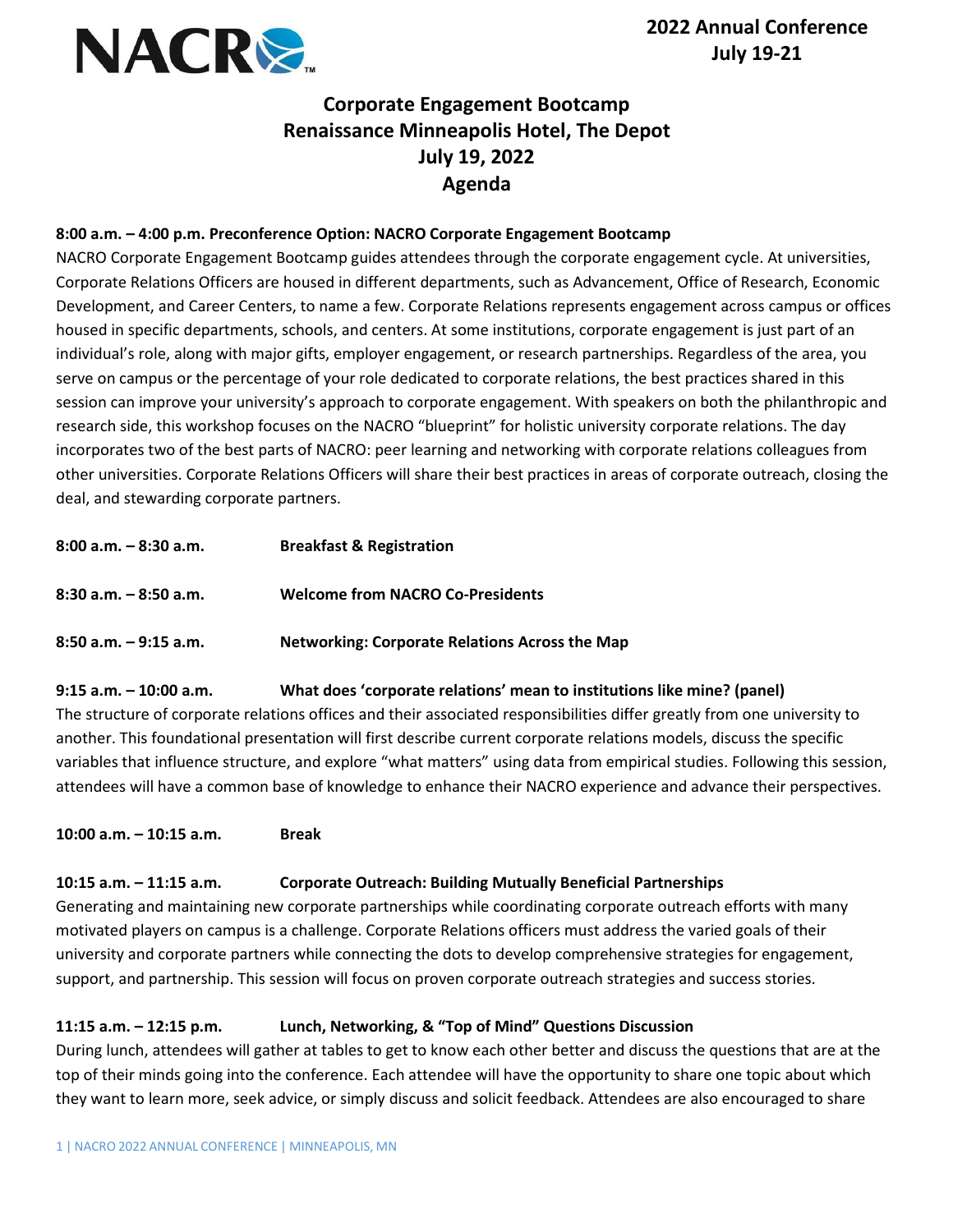

# **Corporate Engagement Bootcamp Renaissance Minneapolis Hotel, The Depot July 19, 2022 Agenda**

#### **8:00 a.m. – 4:00 p.m. Preconference Option: NACRO Corporate Engagement Bootcamp**

NACRO Corporate Engagement Bootcamp guides attendees through the corporate engagement cycle. At universities, Corporate Relations Officers are housed in different departments, such as Advancement, Office of Research, Economic Development, and Career Centers, to name a few. Corporate Relations represents engagement across campus or offices housed in specific departments, schools, and centers. At some institutions, corporate engagement is just part of an individual's role, along with major gifts, employer engagement, or research partnerships. Regardless of the area, you serve on campus or the percentage of your role dedicated to corporate relations, the best practices shared in this session can improve your university's approach to corporate engagement. With speakers on both the philanthropic and research side, this workshop focuses on the NACRO "blueprint" for holistic university corporate relations. The day incorporates two of the best parts of NACRO: peer learning and networking with corporate relations colleagues from other universities. Corporate Relations Officers will share their best practices in areas of corporate outreach, closing the deal, and stewarding corporate partners.

| $8:00$ a.m. $-8:30$ a.m. | <b>Breakfast &amp; Registration</b>                   |
|--------------------------|-------------------------------------------------------|
| $8:30$ a.m. $-8:50$ a.m. | <b>Welcome from NACRO Co-Presidents</b>               |
| $8:50$ a.m. $-9:15$ a.m. | <b>Networking: Corporate Relations Across the Map</b> |

#### **9:15 a.m. – 10:00 a.m. What does 'corporate relations' mean to institutions like mine? (panel)**

The structure of corporate relations offices and their associated responsibilities differ greatly from one university to another. This foundational presentation will first describe current corporate relations models, discuss the specific variables that influence structure, and explore "what matters" using data from empirical studies. Following this session, attendees will have a common base of knowledge to enhance their NACRO experience and advance their perspectives.

**10:00 a.m. – 10:15 a.m. Break**

## **10:15 a.m. – 11:15 a.m. Corporate Outreach: Building Mutually Beneficial Partnerships**

Generating and maintaining new corporate partnerships while coordinating corporate outreach efforts with many motivated players on campus is a challenge. Corporate Relations officers must address the varied goals of their university and corporate partners while connecting the dots to develop comprehensive strategies for engagement, support, and partnership. This session will focus on proven corporate outreach strategies and success stories.

## **11:15 a.m. – 12:15 p.m. Lunch, Networking, & "Top of Mind" Questions Discussion**

During lunch, attendees will gather at tables to get to know each other better and discuss the questions that are at the top of their minds going into the conference. Each attendee will have the opportunity to share one topic about which they want to learn more, seek advice, or simply discuss and solicit feedback. Attendees are also encouraged to share